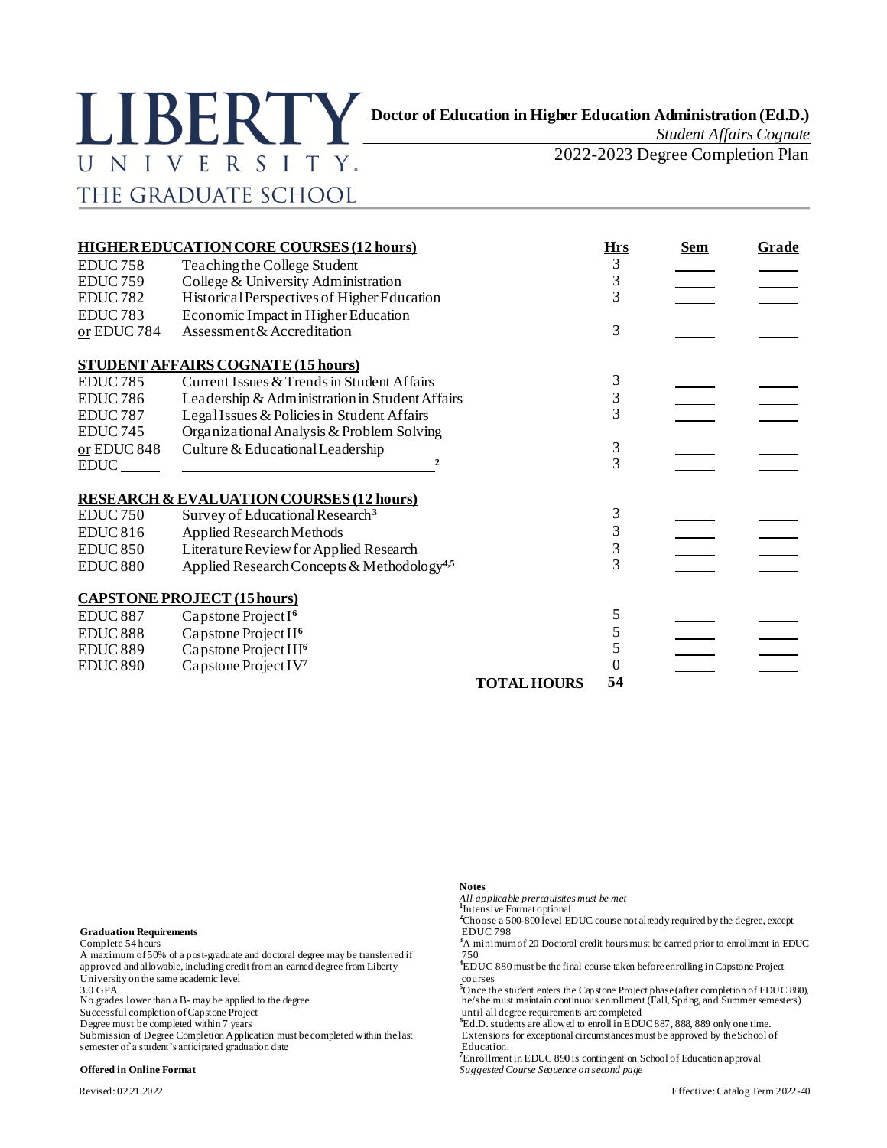

*Student Affairs Cognate*

2022-2023 Degree Completion Plan

# **HIGHER EDUCATION CORE COURSES (12 hours) Hrs Bem Grade** EDUC 758 Teaching the College Student 3<br>EDUC 759 College & University Administration 3 EDUC 759 College & University Administration 3 EDUC 782 Historical Perspectives of Higher Education 3 EDUC 783 Economic Impact in Higher Education or EDUC 784 Assessment & Accreditation 3 **STUDENT AFFAIRS COGNATE (15 hours)** EDUC 785 Current Issues & Trends in Student Affairs 3<br>EDUC 786 Leadership & Administration in Student Affairs 3 EDUC 786 Leadership & Administration in Student Affairs 3<br>
EDUC 787 Legal Issues & Policies in Student Affairs 3 EDUC 787 Legal Issues & Policies in Student Affairs EDUC 745 Organizational Analysis & Problem Solving <u>or</u> EDUC 848 Culture & Educational Leadership  $\frac{3}{3}$ EDUC **<sup>2</sup>** 3 **RESEARCH & EVALUATION COURSES (12 hours)** EDUC 750 Survey of Educational Research<sup>3</sup> 3<br>
EDUC 816 Applied Research Methods 3 EDUC 816 Applied Research Methods 3<br>
EDUC 850 Literature Review for Applied Research 3 Literature Review for Applied Research  $\frac{3}{8}$ <br>Applied Research Concepts & Methodology<sup>4,5</sup> 3 EDUC 880 Applied Research Concepts & Methodology**4,5** 3 **CAPSTONE PROJECT (15hours)**

| EDUC <sub>887</sub> | Capstone Project $I6$            |                    |    |  |
|---------------------|----------------------------------|--------------------|----|--|
| EDUC <sub>888</sub> | Capstone Project $II^6$          |                    |    |  |
| <b>EDUC 889</b>     | Capstone Project $III^6$         |                    |    |  |
| EDUC <sub>890</sub> | Capstone Project IV <sup>7</sup> |                    |    |  |
|                     |                                  | <b>TOTAL HOURS</b> | 54 |  |

**Graduation Requirements** EDUC 798

A maximum of 50% of a post-graduate and doctoral degree may be transferred if approved and allowable, including credit from an earned degree from Liberty **4**EDUC 880 must be the final course taken before enrolling in Capstone Project courses University on the same academic level  $3.0 \text{ GPA}$ 

Submission of Degree Completion Application must be completed within the last Extensions for exceptional circumstances must be approved by the School of semester of a student's anticipated graduation date Education.

### **Notes**

*All applicable prerequisites must be met* **1** Intensive Format optional

<sup>2</sup>Choose a 500-800 level EDUC course not already required by the degree, except

Complete 54 hours<br>A maximum of 50% of a post-graduate and doctoral degree may be transferred if 750<br>750

<sup>5</sup>Once the student enters the Capstone Project phase (after completion of EDUC 880), he/she must maintain continuous enrollment (Fall, Spring, and Summer semesters) No grades lower than a B- may be applied to the degree<br>Successful completion of Capstone Project until all degree requirements are completed<br>until all degree requirements are completed

Degree must be completed within 7 years **<sup>6</sup>**Ed.D. students are allowed to enroll in EDUC 887, 888, 889 only one time.

**<sup>7</sup>**Enrollment in EDUC 890 is contingent on School of Education approval **Offered in Online Format** *Suggested Course Sequence on second page*